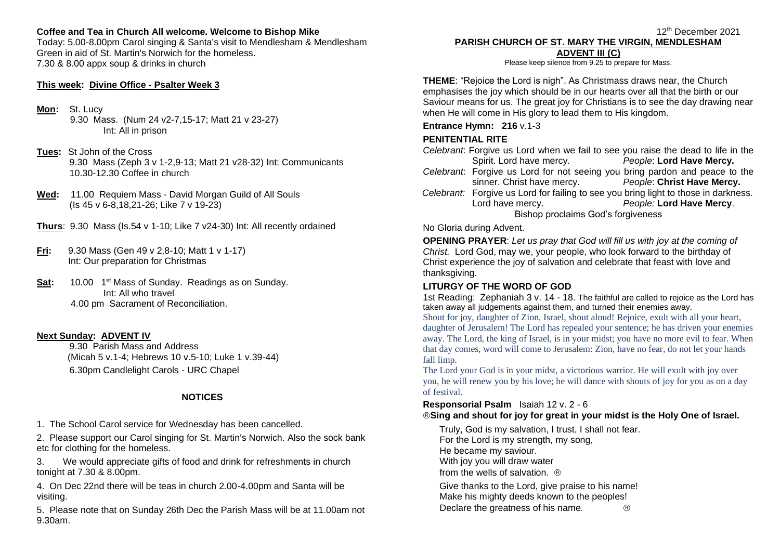# **Coffee and Tea in Church All welcome. Welcome to Bishop Mike**

Today: 5.00-8.00pm Carol singing & Santa's visit to Mendlesham & Mendlesham Green in aid of St. Martin's Norwich for the homeless. 7.30 & 8.00 appx soup & drinks in church

#### **This week: Divine Office - Psalter Week 3**

**Mon:** St. Lucy

9.30 Mass.(Num 24 v2-7,15-17; Matt 21 v 23-27) Int: All in prison

- **Tues:** St John of the Cross 9.30 Mass (Zeph 3 v 1-2,9-13; Matt 21 v28-32) Int: Communicants 10.30-12.30 Coffee in church
- **Wed:** 11.00 Requiem Mass David Morgan Guild of All Souls (Is 45 v 6-8,18,21-26; Like 7 v 19-23)
- **Thurs**: 9.30 Mass (Is.54 v 1-10; Like 7 v24-30) Int: All recently ordained
- **Fri:** 9.30 Mass (Gen 49 v 2,8-10; Matt 1 v 1-17) Int: Our preparation for Christmas
- **Sat:** 10.00 1<sup>st</sup> Mass of Sunday. Readings as on Sunday. Int: All who travel 4.00 pm Sacrament of Reconciliation.

## **Next Sunday: ADVENT IV**

9.30 Parish Mass and Address (Micah 5 v.1-4; Hebrews 10 v.5-10; Luke 1 v.39-44) 6.30pm Candlelight Carols - URC Chapel

## **NOTICES**

1. The School Carol service for Wednesday has been cancelled.

2. Please support our Carol singing for St. Martin's Norwich. Also the sock bank etc for clothing for the homeless.

3. We would appreciate gifts of food and drink for refreshments in church tonight at 7.30 & 8.00pm.

4. On Dec 22nd there will be teas in church 2.00-4.00pm and Santa will be visiting.

5. Please note that on Sunday 26th Dec the Parish Mass will be at 11.00am not 9.30am.

#### **PARISH CHURCH OF ST. MARY THE VIRGIN, MENDLESHAM ADVENT III (C)**

12th December 2021

Please keep silence from 9.25 to prepare for Mass.

**THEME**: "Rejoice the Lord is nigh". As Christmass draws near, the Church emphasises the joy which should be in our hearts over all that the birth or our Saviour means for us. The great joy for Christians is to see the day drawing near when He will come in His glory to lead them to His kingdom.

### **Entrance Hymn: 216** v.1-3

## **PENITENTIAL RITE**

*Celebrant*: Forgive us Lord when we fail to see you raise the dead to life in the Spirit. Lord have mercy. *People*: **Lord Have Mercy.**

- *Celebrant*: Forgive us Lord for not seeing you bring pardon and peace to the sinner. Christ have mercy. *People*: **Christ Have Mercy.**
- *Celebrant:* Forgive us Lord for failing to see you bring light to those in darkness. Lord have mercy. *People:* **Lord Have Mercy**. Bishop proclaims God's forgiveness

### No Gloria during Advent.

**OPENING PRAYER**: *Let us pray that God will fill us with joy at the coming of Christ.* Lord God, may we, your people, who look forward to the birthday of Christ experience the joy of salvation and celebrate that feast with love and thanksgiving.

## **LITURGY OF THE WORD OF GOD**

1st Reading: Zephaniah 3 v. 14 - 18. The faithful are called to rejoice as the Lord has taken away all judgements against them, and turned their enemies away.

Shout for joy, daughter of Zion, Israel, shout aloud! Rejoice, exult with all your heart, daughter of Jerusalem! The Lord has repealed your sentence; he has driven your enemies away. The Lord, the king of Israel, is in your midst; you have no more evil to fear. When that day comes, word will come to Jerusalem: Zion, have no fear, do not let your hands fall limp.

The Lord your God is in your midst, a victorious warrior. He will exult with joy over you, he will renew you by his love; he will dance with shouts of joy for you as on a day of festival.

## **Responsorial Psalm** Isaiah 12 v. 2 - 6

## **Sing and shout for joy for great in your midst is the Holy One of Israel.**

Truly, God is my salvation, I trust, I shall not fear. For the Lord is my strength, my song, He became my saviour. With joy you will draw water from the wells of salvation  $\circledR$ Give thanks to the Lord, give praise to his name! Make his mighty deeds known to the peoples! Declare the greatness of his name.